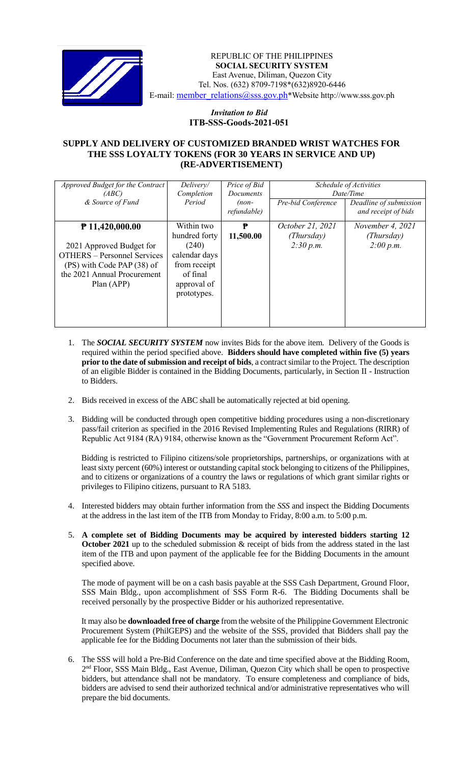

 *Invitation to Bid* REPUBLIC OF THE PHILIPPINES  **SOCIAL SECURITY SYSTEM** East Avenue, Diliman, Quezon City Tel. Nos. (632) 8709-7198\*(632)8920-6446 E-mail: member\_relations@sss.gov.ph\*Website http://www.sss.gov.ph

## *Invitation to Bid*  **ITB-SSS-Goods-2021-051**

## **SUPPLY AND DELIVERY OF CUSTOMIZED BRANDED WRIST WATCHES FOR THE SSS LOYALTY TOKENS (FOR 30 YEARS IN SERVICE AND UP) (RE-ADVERTISEMENT)**

| Approved Budget for the Contract   | Delivery/     | Price of Bid     | Schedule of Activities<br>Date/Time |                        |
|------------------------------------|---------------|------------------|-------------------------------------|------------------------|
| (ABC)                              | Completion    | <b>Documents</b> |                                     |                        |
| & Source of Fund                   | Period        | $(non-$          | Pre-bid Conference                  | Deadline of submission |
|                                    |               | refundable)      |                                     | and receipt of bids    |
| $P$ 11,420,000.00                  | Within two    | ₱                | October 21, 2021                    | November 4, 2021       |
|                                    | hundred forty | 11,500.00        | (Thursday)                          | (Thursday)             |
| 2021 Approved Budget for           | (240)         |                  | 2:30 p.m.                           | 2:00 p.m.              |
| <b>OTHERS</b> – Personnel Services | calendar days |                  |                                     |                        |
| (PS) with Code PAP (38) of         | from receipt  |                  |                                     |                        |
| the 2021 Annual Procurement        | of final      |                  |                                     |                        |
| Plan (APP)                         | approval of   |                  |                                     |                        |
|                                    | prototypes.   |                  |                                     |                        |
|                                    |               |                  |                                     |                        |
|                                    |               |                  |                                     |                        |
|                                    |               |                  |                                     |                        |

- 1. The *SOCIAL SECURITY SYSTEM* now invites Bids for the above item. Delivery of the Goods is required within the period specified above. **Bidders should have completed within five (5) years prior to the date of submission and receipt of bids**, a contract similar to the Project. The description of an eligible Bidder is contained in the Bidding Documents, particularly, in Section II - Instruction to Bidders.
- 2. Bids received in excess of the ABC shall be automatically rejected at bid opening.
- 3. Bidding will be conducted through open competitive bidding procedures using a non-discretionary pass/fail criterion as specified in the 2016 Revised Implementing Rules and Regulations (RIRR) of Republic Act 9184 (RA) 9184, otherwise known as the "Government Procurement Reform Act".

Bidding is restricted to Filipino citizens/sole proprietorships, partnerships, or organizations with at least sixty percent (60%) interest or outstanding capital stock belonging to citizens of the Philippines, and to citizens or organizations of a country the laws or regulations of which grant similar rights or privileges to Filipino citizens, pursuant to RA 5183.

- 4. Interested bidders may obtain further information from the *SSS* and inspect the Bidding Documents at the address in the last item of the ITB from Monday to Friday, 8:00 a.m. to 5:00 p.m.
- 5. **A complete set of Bidding Documents may be acquired by interested bidders starting 12 October 2021** up to the scheduled submission & receipt of bids from the address stated in the last item of the ITB and upon payment of the applicable fee for the Bidding Documents in the amount specified above.

The mode of payment will be on a cash basis payable at the SSS Cash Department, Ground Floor, SSS Main Bldg., upon accomplishment of SSS Form R-6. The Bidding Documents shall be received personally by the prospective Bidder or his authorized representative.

It may also be **downloaded free of charge** from the website of the Philippine Government Electronic Procurement System (PhilGEPS) and the website of the SSS*,* provided that Bidders shall pay the applicable fee for the Bidding Documents not later than the submission of their bids.

6. The SSS will hold a Pre-Bid Conference on the date and time specified above at the Bidding Room, 2<sup>nd</sup> Floor, SSS Main Bldg., East Avenue, Diliman, Quezon City which shall be open to prospective bidders, but attendance shall not be mandatory. To ensure completeness and compliance of bids, bidders are advised to send their authorized technical and/or administrative representatives who will prepare the bid documents.